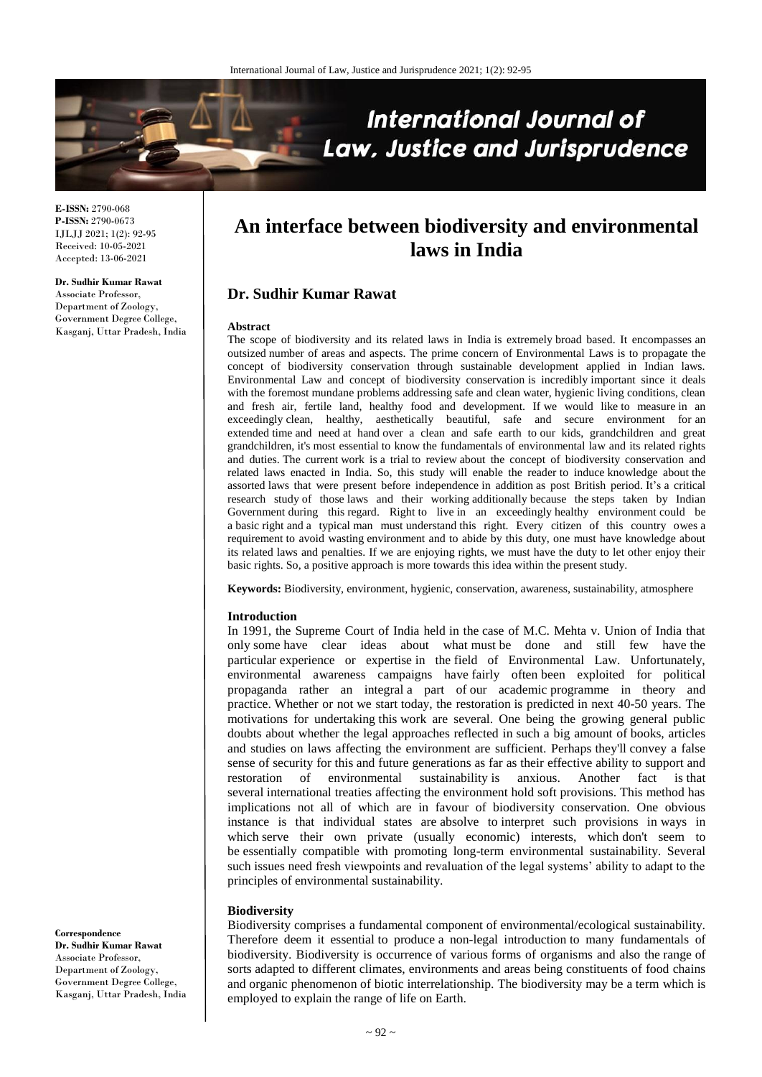

**E-ISSN:** 2790-068 **P-ISSN:** 2790-0673 IJLJJ 2021; 1(2): 92-95 Received: 10-05-2021 Accepted: 13-06-2021

**Dr. Sudhir Kumar Rawat** Associate Professor, Department of Zoology, Government Degree College, Kasganj, Uttar Pradesh, India

# **An interface between biodiversity and environmental laws in India**

## **Dr. Sudhir Kumar Rawat**

#### **Abstract**

The scope of biodiversity and its related laws in India is extremely broad based. It encompasses an outsized number of areas and aspects. The prime concern of Environmental Laws is to propagate the concept of biodiversity conservation through sustainable development applied in Indian laws. Environmental Law and concept of biodiversity conservation is incredibly important since it deals with the foremost mundane problems addressing safe and clean water, hygienic living conditions, clean and fresh air, fertile land, healthy food and development. If we would like to measure in an exceedingly clean, healthy, aesthetically beautiful, safe and secure environment for an extended time and need at hand over a clean and safe earth to our kids, grandchildren and great grandchildren, it's most essential to know the fundamentals of environmental law and its related rights and duties. The current work is a trial to review about the concept of biodiversity conservation and related laws enacted in India. So, this study will enable the reader to induce knowledge about the assorted laws that were present before independence in addition as post British period. It's a critical research study of those laws and their working additionally because the steps taken by Indian Government during this regard. Right to live in an exceedingly healthy environment could be a basic right and a typical man must understand this right. Every citizen of this country owes a requirement to avoid wasting environment and to abide by this duty, one must have knowledge about its related laws and penalties. If we are enjoying rights, we must have the duty to let other enjoy their basic rights. So, a positive approach is more towards this idea within the present study.

**Keywords:** Biodiversity, environment, hygienic, conservation, awareness, sustainability, atmosphere

#### **Introduction**

In 1991, the Supreme Court of India held in the case of M.C. Mehta v. Union of India that only some have clear ideas about what must be done and still few have the particular experience or expertise in the field of Environmental Law. Unfortunately, environmental awareness campaigns have fairly often been exploited for political propaganda rather an integral a part of our academic programme in theory and practice. Whether or not we start today, the restoration is predicted in next 40-50 years. The motivations for undertaking this work are several. One being the growing general public doubts about whether the legal approaches reflected in such a big amount of books, articles and studies on laws affecting the environment are sufficient. Perhaps they'll convey a false sense of security for this and future generations as far as their effective ability to support and restoration of environmental sustainability is anxious. Another fact is that several international treaties affecting the environment hold soft provisions. This method has implications not all of which are in favour of biodiversity conservation. One obvious instance is that individual states are absolve to interpret such provisions in ways in which serve their own private (usually economic) interests, which don't seem to be essentially compatible with promoting long-term environmental sustainability. Several such issues need fresh viewpoints and revaluation of the legal systems' ability to adapt to the principles of environmental sustainability.

#### **Biodiversity**

Biodiversity comprises a fundamental component of environmental/ecological sustainability. Therefore deem it essential to produce a non-legal introduction to many fundamentals of biodiversity. Biodiversity is occurrence of various forms of organisms and also the range of sorts adapted to different climates, environments and areas being constituents of food chains and organic phenomenon of biotic interrelationship. The biodiversity may be a term which is employed to explain the range of life on Earth.

**Correspondence Dr. Sudhir Kumar Rawat** Associate Professor, Department of Zoology, Government Degree College, Kasganj, Uttar Pradesh, India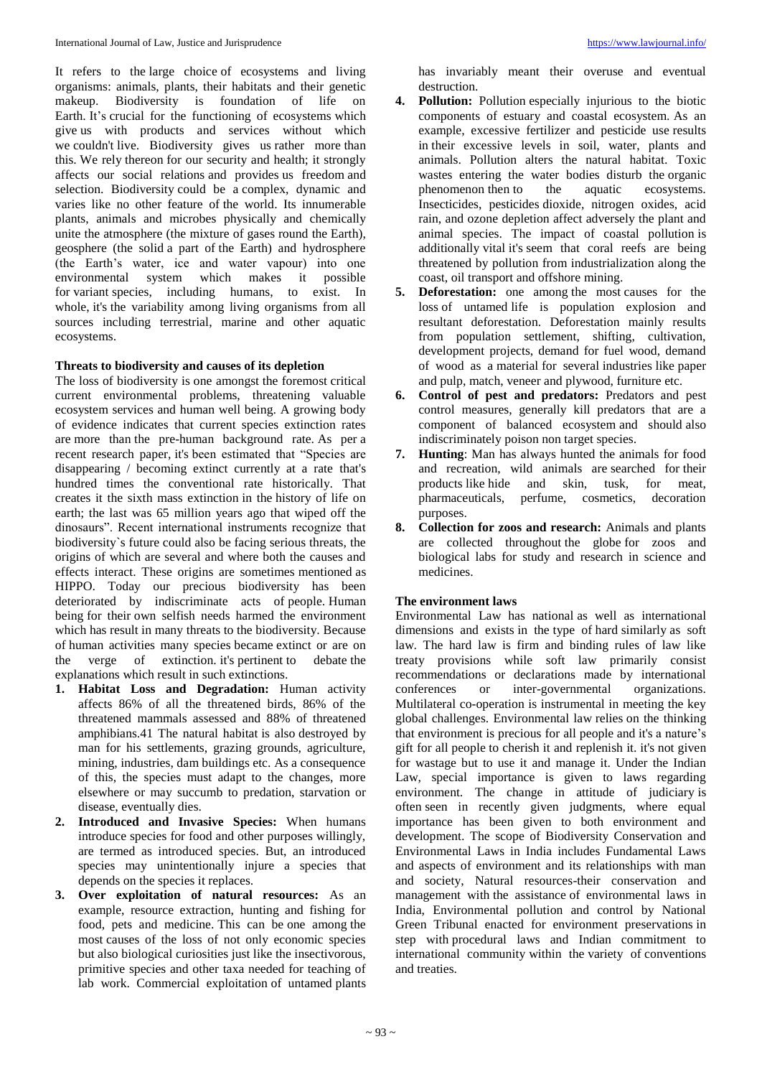It refers to the large choice of ecosystems and living organisms: animals, plants, their habitats and their genetic makeup. Biodiversity is foundation of life on Earth. It's crucial for the functioning of ecosystems which give us with products and services without which we couldn't live. Biodiversity gives us rather more than this. We rely thereon for our security and health; it strongly affects our social relations and provides us freedom and selection. Biodiversity could be a complex, dynamic and varies like no other feature of the world. Its innumerable plants, animals and microbes physically and chemically unite the atmosphere (the mixture of gases round the Earth), geosphere (the solid a part of the Earth) and hydrosphere (the Earth's water, ice and water vapour) into one environmental system which makes it possible for variant species, including humans, to exist. In whole, it's the variability among living organisms from all sources including terrestrial, marine and other aquatic ecosystems.

## **Threats to biodiversity and causes of its depletion**

The loss of biodiversity is one amongst the foremost critical current environmental problems, threatening valuable ecosystem services and human well being. A growing body of evidence indicates that current species extinction rates are more than the pre-human background rate. As per a recent research paper, it's been estimated that "Species are disappearing / becoming extinct currently at a rate that's hundred times the conventional rate historically. That creates it the sixth mass extinction in the history of life on earth; the last was 65 million years ago that wiped off the dinosaurs". Recent international instruments recognize that biodiversity`s future could also be facing serious threats, the origins of which are several and where both the causes and effects interact. These origins are sometimes mentioned as HIPPO. Today our precious biodiversity has been deteriorated by indiscriminate acts of people. Human being for their own selfish needs harmed the environment which has result in many threats to the biodiversity. Because of human activities many species became extinct or are on the verge of extinction. it's pertinent to debate the explanations which result in such extinctions.

- **1. Habitat Loss and Degradation:** Human activity affects 86% of all the threatened birds, 86% of the threatened mammals assessed and 88% of threatened amphibians.41 The natural habitat is also destroyed by man for his settlements, grazing grounds, agriculture, mining, industries, dam buildings etc. As a consequence of this, the species must adapt to the changes, more elsewhere or may succumb to predation, starvation or disease, eventually dies.
- **2. Introduced and Invasive Species:** When humans introduce species for food and other purposes willingly, are termed as introduced species. But, an introduced species may unintentionally injure a species that depends on the species it replaces.
- **3. Over exploitation of natural resources:** As an example, resource extraction, hunting and fishing for food, pets and medicine. This can be one among the most causes of the loss of not only economic species but also biological curiosities just like the insectivorous, primitive species and other taxa needed for teaching of lab work. Commercial exploitation of untamed plants

has invariably meant their overuse and eventual destruction.

- **4. Pollution:** Pollution especially injurious to the biotic components of estuary and coastal ecosystem. As an example, excessive fertilizer and pesticide use results in their excessive levels in soil, water, plants and animals. Pollution alters the natural habitat. Toxic wastes entering the water bodies disturb the organic phenomenon then to the aquatic ecosystems. Insecticides, pesticides dioxide, nitrogen oxides, acid rain, and ozone depletion affect adversely the plant and animal species. The impact of coastal pollution is additionally vital it's seem that coral reefs are being threatened by pollution from industrialization along the coast, oil transport and offshore mining.
- **5. Deforestation:** one among the most causes for the loss of untamed life is population explosion and resultant deforestation. Deforestation mainly results from population settlement, shifting, cultivation, development projects, demand for fuel wood, demand of wood as a material for several industries like paper and pulp, match, veneer and plywood, furniture etc.
- **6. Control of pest and predators:** Predators and pest control measures, generally kill predators that are a component of balanced ecosystem and should also indiscriminately poison non target species.
- **7. Hunting**: Man has always hunted the animals for food and recreation, wild animals are searched for their products like hide and skin, tusk, for meat, pharmaceuticals, perfume, cosmetics, decoration purposes.
- **8. Collection for zoos and research:** Animals and plants are collected throughout the globe for zoos and biological labs for study and research in science and medicines.

## **The environment laws**

Environmental Law has national as well as international dimensions and exists in the type of hard similarly as soft law. The hard law is firm and binding rules of law like treaty provisions while soft law primarily consist recommendations or declarations made by international conferences or inter-governmental organizations. Multilateral co-operation is instrumental in meeting the key global challenges. Environmental law relies on the thinking that environment is precious for all people and it's a nature's gift for all people to cherish it and replenish it. it's not given for wastage but to use it and manage it. Under the Indian Law, special importance is given to laws regarding environment. The change in attitude of judiciary is often seen in recently given judgments, where equal importance has been given to both environment and development. The scope of Biodiversity Conservation and Environmental Laws in India includes Fundamental Laws and aspects of environment and its relationships with man and society, Natural resources-their conservation and management with the assistance of environmental laws in India, Environmental pollution and control by National Green Tribunal enacted for environment preservations in step with procedural laws and Indian commitment to international community within the variety of conventions and treaties.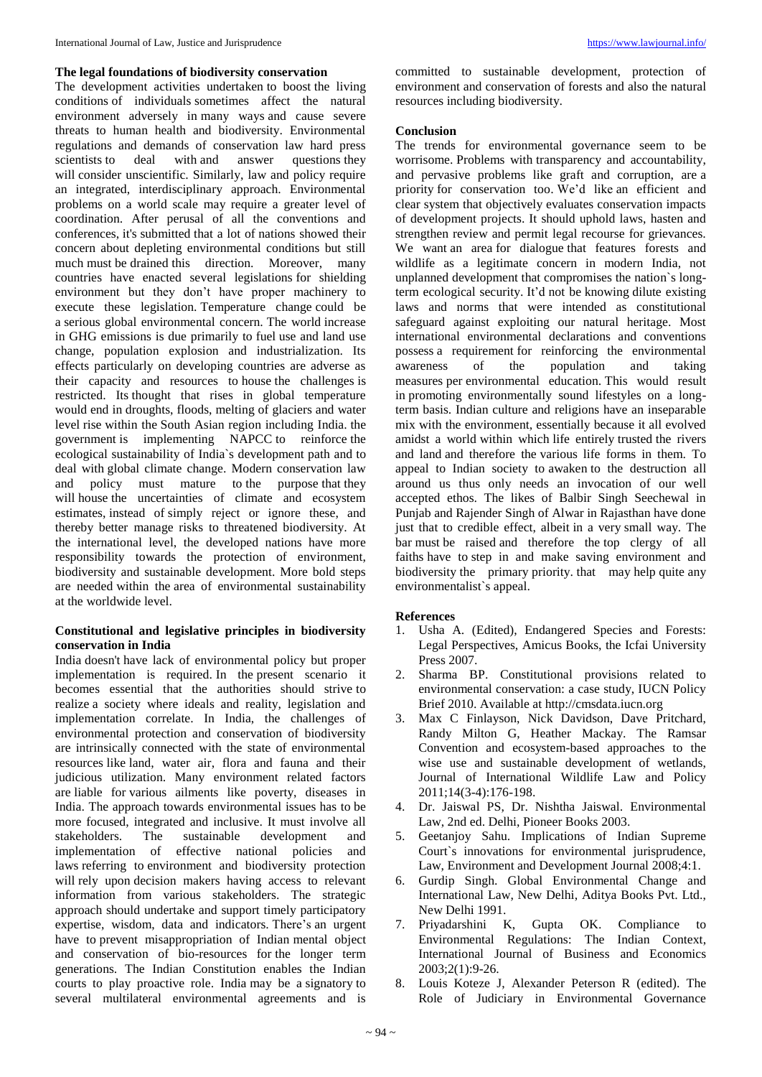#### **The legal foundations of biodiversity conservation**

The development activities undertaken to boost the living conditions of individuals sometimes affect the natural environment adversely in many ways and cause severe threats to human health and biodiversity. Environmental regulations and demands of conservation law hard press scientists to deal with and answer questions they will consider unscientific. Similarly, law and policy require an integrated, interdisciplinary approach. Environmental problems on a world scale may require a greater level of coordination. After perusal of all the conventions and conferences, it's submitted that a lot of nations showed their concern about depleting environmental conditions but still much must be drained this direction. Moreover, many countries have enacted several legislations for shielding environment but they don't have proper machinery to execute these legislation. Temperature change could be a serious global environmental concern. The world increase in GHG emissions is due primarily to fuel use and land use change, population explosion and industrialization. Its effects particularly on developing countries are adverse as their capacity and resources to house the challenges is restricted. Its thought that rises in global temperature would end in droughts, floods, melting of glaciers and water level rise within the South Asian region including India. the government is implementing NAPCC to reinforce the ecological sustainability of India`s development path and to deal with global climate change. Modern conservation law and policy must mature to the purpose that they will house the uncertainties of climate and ecosystem estimates, instead of simply reject or ignore these, and thereby better manage risks to threatened biodiversity. At the international level, the developed nations have more responsibility towards the protection of environment, biodiversity and sustainable development. More bold steps are needed within the area of environmental sustainability at the worldwide level.

## **Constitutional and legislative principles in biodiversity conservation in India**

India doesn't have lack of environmental policy but proper implementation is required. In the present scenario it becomes essential that the authorities should strive to realize a society where ideals and reality, legislation and implementation correlate. In India, the challenges of environmental protection and conservation of biodiversity are intrinsically connected with the state of environmental resources like land, water air, flora and fauna and their judicious utilization. Many environment related factors are liable for various ailments like poverty, diseases in India. The approach towards environmental issues has to be more focused, integrated and inclusive. It must involve all stakeholders. The sustainable development and implementation of effective national policies and laws referring to environment and biodiversity protection will rely upon decision makers having access to relevant information from various stakeholders. The strategic approach should undertake and support timely participatory expertise, wisdom, data and indicators. There's an urgent have to prevent misappropriation of Indian mental object and conservation of bio-resources for the longer term generations. The Indian Constitution enables the Indian courts to play proactive role. India may be a signatory to several multilateral environmental agreements and is

committed to sustainable development, protection of environment and conservation of forests and also the natural resources including biodiversity.

## **Conclusion**

The trends for environmental governance seem to be worrisome. Problems with transparency and accountability, and pervasive problems like graft and corruption, are a priority for conservation too. We'd like an efficient and clear system that objectively evaluates conservation impacts of development projects. It should uphold laws, hasten and strengthen review and permit legal recourse for grievances. We want an area for dialogue that features forests and wildlife as a legitimate concern in modern India, not unplanned development that compromises the nation`s longterm ecological security. It'd not be knowing dilute existing laws and norms that were intended as constitutional safeguard against exploiting our natural heritage. Most international environmental declarations and conventions possess a requirement for reinforcing the environmental awareness of the population and taking measures per environmental education. This would result in promoting environmentally sound lifestyles on a longterm basis. Indian culture and religions have an inseparable mix with the environment, essentially because it all evolved amidst a world within which life entirely trusted the rivers and land and therefore the various life forms in them. To appeal to Indian society to awaken to the destruction all around us thus only needs an invocation of our well accepted ethos. The likes of Balbir Singh Seechewal in Punjab and Rajender Singh of Alwar in Rajasthan have done just that to credible effect, albeit in a very small way. The bar must be raised and therefore the top clergy of all faiths have to step in and make saving environment and biodiversity the primary priority. that may help quite any environmentalist`s appeal.

## **References**

- 1. Usha A. (Edited), Endangered Species and Forests: Legal Perspectives, Amicus Books, the Icfai University Press 2007.
- 2. Sharma BP. Constitutional provisions related to environmental conservation: a case study, IUCN Policy Brief 2010. Available at http://cmsdata.iucn.org
- 3. Max C Finlayson, Nick Davidson, Dave Pritchard, Randy Milton G, Heather Mackay. The Ramsar Convention and ecosystem-based approaches to the wise use and sustainable development of wetlands, Journal of International Wildlife Law and Policy 2011;14(3-4):176-198.
- 4. Dr. Jaiswal PS, Dr. Nishtha Jaiswal. Environmental Law, 2nd ed. Delhi, Pioneer Books 2003.
- 5. Geetanjoy Sahu. Implications of Indian Supreme Court`s innovations for environmental jurisprudence, Law, Environment and Development Journal 2008;4:1.
- 6. Gurdip Singh. Global Environmental Change and International Law, New Delhi, Aditya Books Pvt. Ltd., New Delhi 1991.
- 7. Priyadarshini K, Gupta OK. Compliance to Environmental Regulations: The Indian Context, International Journal of Business and Economics 2003;2(1):9-26.
- 8. Louis Koteze J, Alexander Peterson R (edited). The Role of Judiciary in Environmental Governance